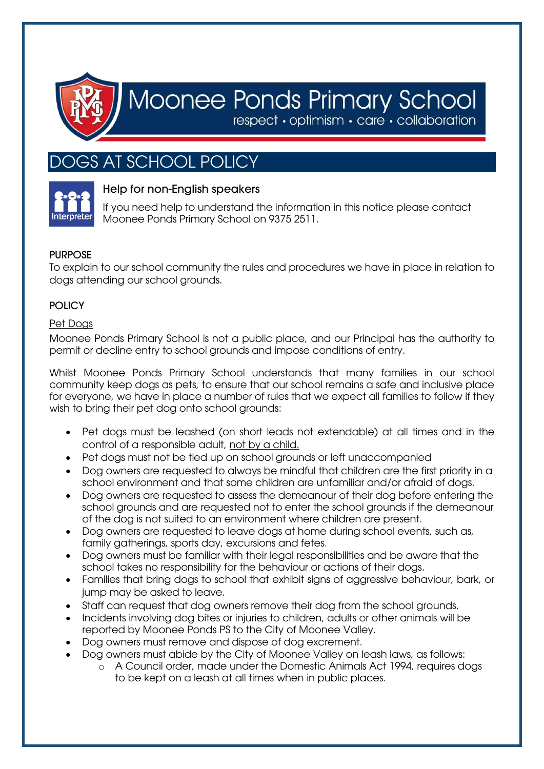

# Moonee Ponds Primary School

respect · optimism · care · collaboration

# DOGS AT SCHOOL POLICY



# Help for non-English speakers

If you need help to understand the information in this notice please contact Moonee Ponds Primary School on 9375 2511.

#### **PURPOSE**

To explain to our school community the rules and procedures we have in place in relation to dogs attending our school grounds.

## **POLICY**

#### Pet Dogs

Moonee Ponds Primary School is not a public place, and our Principal has the authority to permit or decline entry to school grounds and impose conditions of entry.

Whilst Moonee Ponds Primary School understands that many families in our school community keep dogs as pets, to ensure that our school remains a safe and inclusive place for everyone, we have in place a number of rules that we expect all families to follow if they wish to bring their pet dog onto school grounds:

- Pet dogs must be leashed (on short leads not extendable) at all times and in the control of a responsible adult, not by a child.
- Pet dogs must not be tied up on school grounds or left unaccompanied
- Dog owners are requested to always be mindful that children are the first priority in a school environment and that some children are unfamiliar and/or afraid of dogs.
- Dog owners are requested to assess the demeanour of their dog before entering the school grounds and are requested not to enter the school grounds if the demeanour of the dog is not suited to an environment where children are present.
- Dog owners are requested to leave dogs at home during school events, such as, family gatherings, sports day, excursions and fetes.
- Dog owners must be familiar with their legal responsibilities and be aware that the school takes no responsibility for the behaviour or actions of their dogs.
- Families that bring dogs to school that exhibit signs of aggressive behaviour, bark, or jump may be asked to leave.
- Staff can request that dog owners remove their dog from the school grounds.
- Incidents involving dog bites or injuries to children, adults or other animals will be reported by Moonee Ponds PS to the City of Moonee Valley.
- Dog owners must remove and dispose of dog excrement.
- Dog owners must abide by the City of Moonee Valley on leash laws, as follows:
	- o A Council order, made under the Domestic Animals Act 1994, requires dogs to be kept on a leash at all times when in public places.